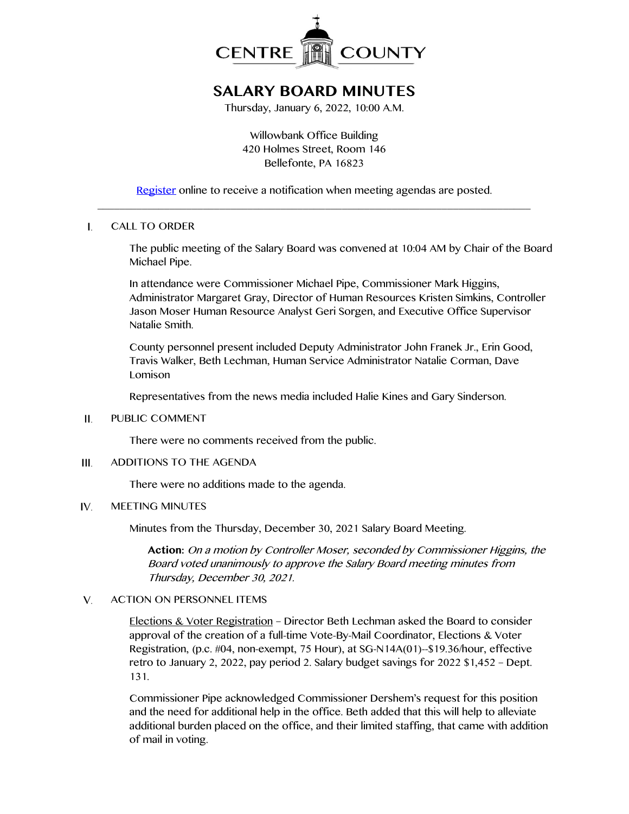

# **SALARY BOARD MINUTES**

Thursday, January 6, 2022, 10:00 A.M.

Willowbank Office Building 420 Holmes Street, Room 146 Bellefonte, PA 16823

[Register](http://www.centrecountypa.gov/AgendaCenter) online to receive a notification when meeting agendas are posted.  $\_$  , and the set of the set of the set of the set of the set of the set of the set of the set of the set of the set of the set of the set of the set of the set of the set of the set of the set of the set of the set of th

#### $\mathbf{I}$ . CALL TO ORDER

The public meeting of the Salary Board was convened at 10:04 AM by Chair of the Board Michael Pipe.

In attendance were Commissioner Michael Pipe, Commissioner Mark Higgins, Administrator Margaret Gray, Director of Human Resources Kristen Simkins, Controller Jason Moser Human Resource Analyst Geri Sorgen, and Executive Office Supervisor Natalie Smith.

County personnel present included Deputy Administrator John Franek Jr., Erin Good, Travis Walker, Beth Lechman, Human Service Administrator Natalie Corman, Dave Lomison

Representatives from the news media included Halie Kines and Gary Sinderson.

#### PUBLIC COMMENT II.

There were no comments received from the public.

#### ADDITIONS TO THE AGENDA III.

There were no additions made to the agenda.

#### IV. MEETING MINUTES

Minutes from the Thursday, December 30, 2021 Salary Board Meeting.

**Action:** On a motion by Controller Moser, seconded by Commissioner Higgins, the Board voted unanimously to approve the Salary Board meeting minutes from Thursday, December 30, 2021.

#### $V_{\cdot}$ ACTION ON PERSONNEL ITEMS

Elections & Voter Registration – Director Beth Lechman asked the Board to consider approval of the creation of a full-time Vote-By-Mail Coordinator, Elections & Voter Registration, (p.c. #04, non-exempt, 75 Hour), at SG-N14A(01)--\$19.36/hour, effective retro to January 2, 2022, pay period 2. Salary budget savings for 2022 \$1,452 – Dept. 131.

Commissioner Pipe acknowledged Commissioner Dershem's request for this position and the need for additional help in the office. Beth added that this will help to alleviate additional burden placed on the office, and their limited staffing, that came with addition of mail in voting.